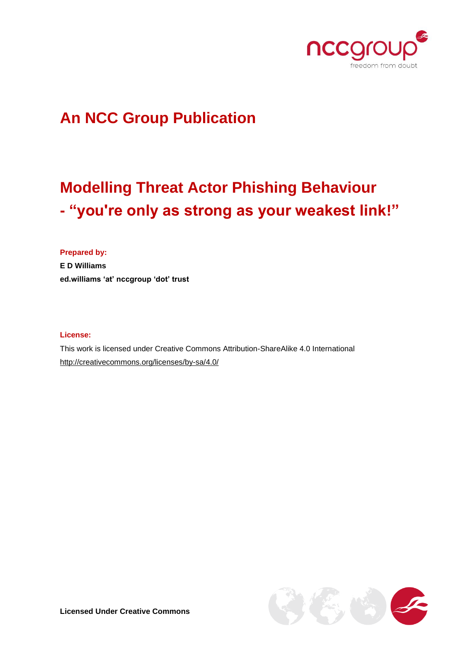

## **An NCC Group Publication**

# **Modelling Threat Actor Phishing Behaviour - "you're only as strong as your weakest link!"**

**Prepared by: E D Williams ed.williams 'at' nccgroup 'dot' trust**

#### **License:**

This work is licensed under Creative Commons Attribution-ShareAlike 4.0 International <http://creativecommons.org/licenses/by-sa/4.0/>

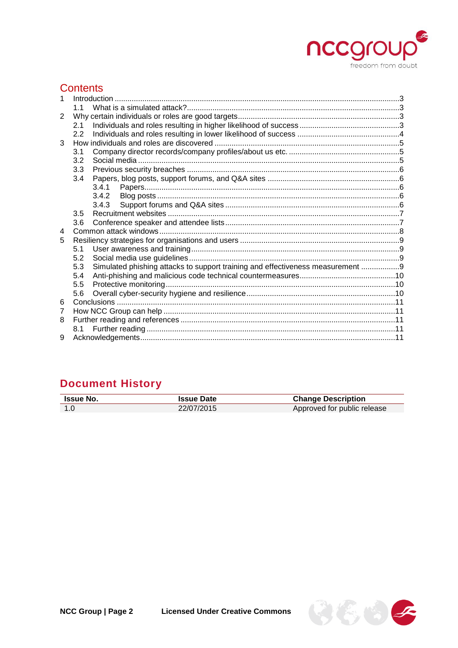

### **Contents**

|   | 11                                                                                    |  |
|---|---------------------------------------------------------------------------------------|--|
| 2 |                                                                                       |  |
|   | 2.1                                                                                   |  |
|   | 2.2                                                                                   |  |
| 3 |                                                                                       |  |
|   | 3.1                                                                                   |  |
|   | 3.2                                                                                   |  |
|   | 3.3                                                                                   |  |
|   | 3.4                                                                                   |  |
|   |                                                                                       |  |
|   | 3.4.2                                                                                 |  |
|   | 3.4.3                                                                                 |  |
|   | 3.5                                                                                   |  |
|   | 3.6                                                                                   |  |
| 4 |                                                                                       |  |
| 5 |                                                                                       |  |
|   | 5.1                                                                                   |  |
|   | 5.2                                                                                   |  |
|   | Simulated phishing attacks to support training and effectiveness measurement 9<br>5.3 |  |
|   | 5.4                                                                                   |  |
|   | 5.5                                                                                   |  |
|   | 5.6                                                                                   |  |
| 6 |                                                                                       |  |
| 7 |                                                                                       |  |
| 8 |                                                                                       |  |
|   | 8.1                                                                                   |  |
| 9 |                                                                                       |  |

## **Document History**

| <b>Issue No.</b> | <b>Issue Date</b> | <b>Change Description</b>   |
|------------------|-------------------|-----------------------------|
| 1.0              | 22/07/2015        | Approved for public release |

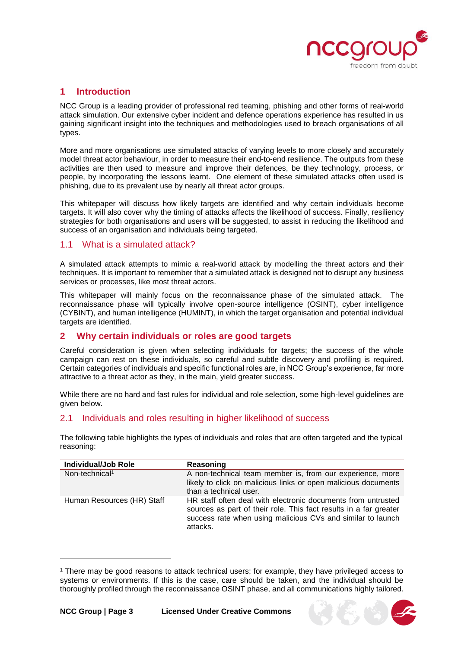

#### <span id="page-2-0"></span>**1 Introduction**

NCC Group is a leading provider of professional red teaming, phishing and other forms of real-world attack simulation. Our extensive cyber incident and defence operations experience has resulted in us gaining significant insight into the techniques and methodologies used to breach organisations of all types.

More and more organisations use simulated attacks of varying levels to more closely and accurately model threat actor behaviour, in order to measure their end-to-end resilience. The outputs from these activities are then used to measure and improve their defences, be they technology, process, or people, by incorporating the lessons learnt. One element of these simulated attacks often used is phishing, due to its prevalent use by nearly all threat actor groups.

This whitepaper will discuss how likely targets are identified and why certain individuals become targets. It will also cover why the timing of attacks affects the likelihood of success. Finally, resiliency strategies for both organisations and users will be suggested, to assist in reducing the likelihood and success of an organisation and individuals being targeted.

#### <span id="page-2-1"></span>1.1 What is a simulated attack?

A simulated attack attempts to mimic a real-world attack by modelling the threat actors and their techniques. It is important to remember that a simulated attack is designed not to disrupt any business services or processes, like most threat actors.

This whitepaper will mainly focus on the reconnaissance phase of the simulated attack. The reconnaissance phase will typically involve open-source intelligence (OSINT), cyber intelligence (CYBINT), and human intelligence (HUMINT), in which the target organisation and potential individual targets are identified.

#### <span id="page-2-2"></span>**2 Why certain individuals or roles are good targets**

Careful consideration is given when selecting individuals for targets; the success of the whole campaign can rest on these individuals, so careful and subtle discovery and profiling is required. Certain categories of individuals and specific functional roles are, in NCC Group's experience, far more attractive to a threat actor as they, in the main, yield greater success.

While there are no hard and fast rules for individual and role selection, some high-level guidelines are given below.

#### <span id="page-2-3"></span>2.1 Individuals and roles resulting in higher likelihood of success

The following table highlights the types of individuals and roles that are often targeted and the typical reasoning:

| <b>Individual/Job Role</b> | Reasoning                                                                                                                                                                                                    |  |
|----------------------------|--------------------------------------------------------------------------------------------------------------------------------------------------------------------------------------------------------------|--|
| Non-technical <sup>1</sup> | A non-technical team member is, from our experience, more<br>likely to click on malicious links or open malicious documents<br>than a technical user.                                                        |  |
| Human Resources (HR) Staff | HR staff often deal with electronic documents from untrusted<br>sources as part of their role. This fact results in a far greater<br>success rate when using malicious CVs and similar to launch<br>attacks. |  |



<sup>1</sup> There may be good reasons to attack technical users; for example, they have privileged access to systems or environments. If this is the case, care should be taken, and the individual should be thoroughly profiled through the reconnaissance OSINT phase, and all communications highly tailored.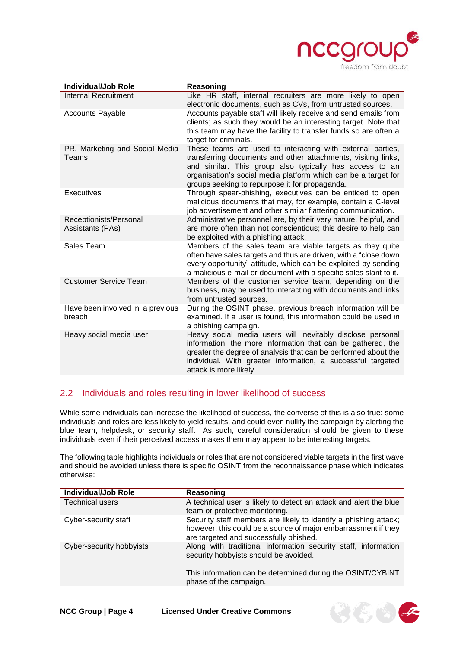

| <b>Individual/Job Role</b>                 | Reasoning                                                                                                                                                                                                                                                                                                  |  |  |
|--------------------------------------------|------------------------------------------------------------------------------------------------------------------------------------------------------------------------------------------------------------------------------------------------------------------------------------------------------------|--|--|
| <b>Internal Recruitment</b>                | Like HR staff, internal recruiters are more likely to open<br>electronic documents, such as CVs, from untrusted sources.                                                                                                                                                                                   |  |  |
| <b>Accounts Payable</b>                    | Accounts payable staff will likely receive and send emails from<br>clients; as such they would be an interesting target. Note that<br>this team may have the facility to transfer funds so are often a<br>target for criminals.                                                                            |  |  |
| PR, Marketing and Social Media<br>Teams    | These teams are used to interacting with external parties,<br>transferring documents and other attachments, visiting links,<br>and similar. This group also typically has access to an<br>organisation's social media platform which can be a target for<br>groups seeking to repurpose it for propaganda. |  |  |
| Executives                                 | Through spear-phishing, executives can be enticed to open<br>malicious documents that may, for example, contain a C-level<br>job advertisement and other similar flattering communication.                                                                                                                 |  |  |
| Receptionists/Personal<br>Assistants (PAs) | Administrative personnel are, by their very nature, helpful, and<br>are more often than not conscientious; this desire to help can<br>be exploited with a phishing attack.                                                                                                                                 |  |  |
| Sales Team                                 | Members of the sales team are viable targets as they quite<br>often have sales targets and thus are driven, with a "close down<br>every opportunity" attitude, which can be exploited by sending<br>a malicious e-mail or document with a specific sales slant to it.                                      |  |  |
| <b>Customer Service Team</b>               | Members of the customer service team, depending on the<br>business, may be used to interacting with documents and links<br>from untrusted sources.                                                                                                                                                         |  |  |
| Have been involved in a previous<br>breach | During the OSINT phase, previous breach information will be<br>examined. If a user is found, this information could be used in<br>a phishing campaign.                                                                                                                                                     |  |  |
| Heavy social media user                    | Heavy social media users will inevitably disclose personal<br>information; the more information that can be gathered, the<br>greater the degree of analysis that can be performed about the<br>individual. With greater information, a successful targeted<br>attack is more likely.                       |  |  |

#### <span id="page-3-0"></span>2.2 Individuals and roles resulting in lower likelihood of success

While some individuals can increase the likelihood of success, the converse of this is also true: some individuals and roles are less likely to yield results, and could even nullify the campaign by alerting the blue team, helpdesk, or security staff. As such, careful consideration should be given to these individuals even if their perceived access makes them may appear to be interesting targets.

The following table highlights individuals or roles that are not considered viable targets in the first wave and should be avoided unless there is specific OSINT from the reconnaissance phase which indicates otherwise:

| <b>Individual/Job Role</b> | Reasoning                                                                                                                                                                    |
|----------------------------|------------------------------------------------------------------------------------------------------------------------------------------------------------------------------|
| Technical users            | A technical user is likely to detect an attack and alert the blue<br>team or protective monitoring.                                                                          |
| Cyber-security staff       | Security staff members are likely to identify a phishing attack;<br>however, this could be a source of major embarrassment if they<br>are targeted and successfully phished. |
| Cyber-security hobbyists   | Along with traditional information security staff, information<br>security hobbyists should be avoided.                                                                      |
|                            | This information can be determined during the OSINT/CYBINT<br>phase of the campaign.                                                                                         |

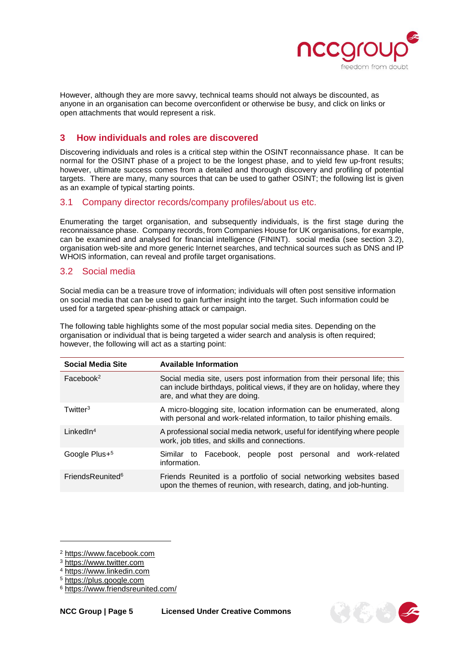

However, although they are more savvy, technical teams should not always be discounted, as anyone in an organisation can become overconfident or otherwise be busy, and click on links or open attachments that would represent a risk.

#### <span id="page-4-0"></span>**3 How individuals and roles are discovered**

Discovering individuals and roles is a critical step within the OSINT reconnaissance phase. It can be normal for the OSINT phase of a project to be the longest phase, and to yield few up-front results; however, ultimate success comes from a detailed and thorough discovery and profiling of potential targets. There are many, many sources that can be used to gather OSINT; the following list is given as an example of typical starting points.

#### <span id="page-4-1"></span>3.1 Company director records/company profiles/about us etc.

Enumerating the target organisation, and subsequently individuals, is the first stage during the reconnaissance phase. Company records, from Companies House for UK organisations, for example, can be examined and analysed for financial intelligence (FININT). social media (see section [3.2\)](#page-4-2), organisation web-site and more generic Internet searches, and technical sources such as DNS and IP WHOIS information, can reveal and profile target organisations.

#### <span id="page-4-2"></span>3.2 Social media

Social media can be a treasure trove of information; individuals will often post sensitive information on social media that can be used to gain further insight into the target. Such information could be used for a targeted spear-phishing attack or campaign.

The following table highlights some of the most popular social media sites. Depending on the organisation or individual that is being targeted a wider search and analysis is often required; however, the following will act as a starting point:

| <b>Social Media Site</b>     | <b>Available Information</b>                                                                                                                                                            |  |  |
|------------------------------|-----------------------------------------------------------------------------------------------------------------------------------------------------------------------------------------|--|--|
| Facebook <sup>2</sup>        | Social media site, users post information from their personal life; this<br>can include birthdays, political views, if they are on holiday, where they<br>are, and what they are doing. |  |  |
| Twitter <sup>3</sup>         | A micro-blogging site, location information can be enumerated, along<br>with personal and work-related information, to tailor phishing emails.                                          |  |  |
| LinkedIn <sup>4</sup>        | A professional social media network, useful for identifying where people<br>work, job titles, and skills and connections.                                                               |  |  |
| Google Plus+ <sup>5</sup>    | Similar to Facebook, people post personal and work-related<br>information.                                                                                                              |  |  |
| FriendsReunited <sup>6</sup> | Friends Reunited is a portfolio of social networking websites based<br>upon the themes of reunion, with research, dating, and job-hunting.                                              |  |  |



<sup>2</sup> [https://www.facebook.com](https://www.facebook.com/)

<sup>3</sup> [https://www.twitter.com](https://www.twitter.com/)

<sup>4</sup> [https://www.linkedin.com](https://www.linkedin.com/)

<sup>5</sup> [https://plus.google.com](https://plus.google.com/)

<sup>6</sup> <https://www.friendsreunited.com/>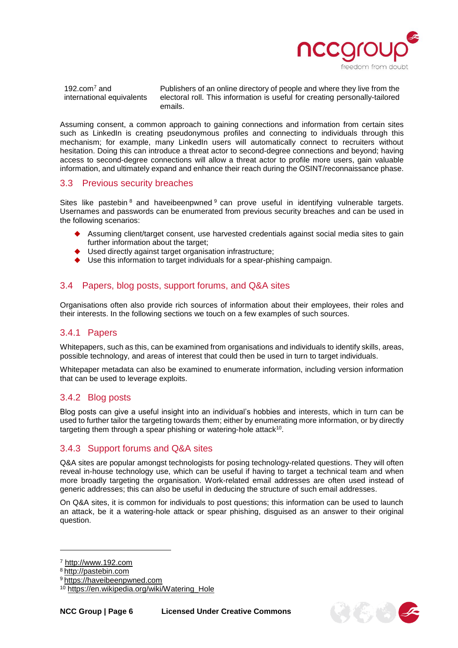

3662

192.com $^7$  and international equivalents Publishers of an online directory of people and where they live from the electoral roll. This information is useful for creating personally-tailored emails.

Assuming consent, a common approach to gaining connections and information from certain sites such as LinkedIn is creating pseudonymous profiles and connecting to individuals through this mechanism; for example, many LinkedIn users will automatically connect to recruiters without hesitation. Doing this can introduce a threat actor to second-degree connections and beyond; having access to second-degree connections will allow a threat actor to profile more users, gain valuable information, and ultimately expand and enhance their reach during the OSINT/reconnaissance phase.

#### <span id="page-5-0"></span>3.3 Previous security breaches

Sites like pastebin  $8$  and haveibeenpwned  $9$  can prove useful in identifying vulnerable targets. Usernames and passwords can be enumerated from previous security breaches and can be used in the following scenarios:

- Assuming client/target consent, use harvested credentials against social media sites to gain further information about the target;
- Used directly against target organisation infrastructure;
- Use this information to target individuals for a spear-phishing campaign.

#### <span id="page-5-1"></span>3.4 Papers, blog posts, support forums, and Q&A sites

Organisations often also provide rich sources of information about their employees, their roles and their interests. In the following sections we touch on a few examples of such sources.

#### <span id="page-5-2"></span>3.4.1 Papers

Whitepapers, such as this, can be examined from organisations and individuals to identify skills, areas, possible technology, and areas of interest that could then be used in turn to target individuals.

Whitepaper metadata can also be examined to enumerate information, including version information that can be used to leverage exploits.

#### <span id="page-5-3"></span>3.4.2 Blog posts

Blog posts can give a useful insight into an individual's hobbies and interests, which in turn can be used to further tailor the targeting towards them; either by enumerating more information, or by directly targeting them through a spear phishing or watering-hole attack<sup>10</sup>.

#### <span id="page-5-4"></span>3.4.3 Support forums and Q&A sites

Q&A sites are popular amongst technologists for posing technology-related questions. They will often reveal in-house technology use, which can be useful if having to target a technical team and when more broadly targeting the organisation. Work-related email addresses are often used instead of generic addresses; this can also be useful in deducing the structure of such email addresses.

On Q&A sites, it is common for individuals to post questions; this information can be used to launch an attack, be it a watering-hole attack or spear phishing, disguised as an answer to their original question.

<sup>7</sup> [http://www.192.com](http://www.192.com/)

<sup>8</sup> [http://pastebin.com](http://pastebin.com/)

<sup>&</sup>lt;sup>9</sup> [https://haveibeenpwned.com](https://haveibeenpwned.com/)

<sup>10</sup> [https://en.wikipedia.org/wiki/Watering\\_Hole](https://en.wikipedia.org/wiki/Watering_Hole)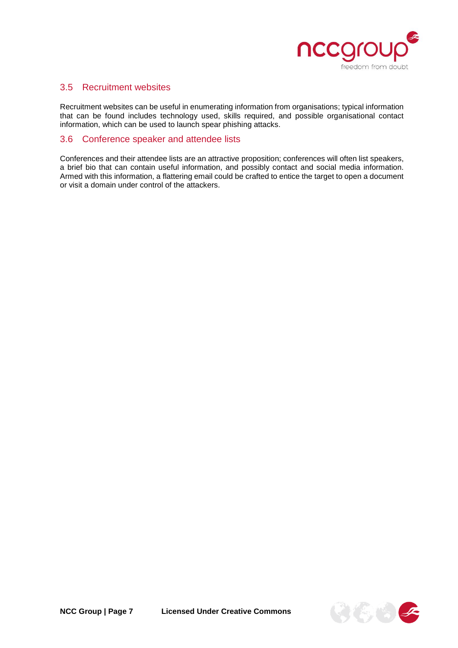

#### <span id="page-6-0"></span>3.5 Recruitment websites

Recruitment websites can be useful in enumerating information from organisations; typical information that can be found includes technology used, skills required, and possible organisational contact information, which can be used to launch spear phishing attacks.

#### <span id="page-6-1"></span>3.6 Conference speaker and attendee lists

Conferences and their attendee lists are an attractive proposition; conferences will often list speakers, a brief bio that can contain useful information, and possibly contact and social media information. Armed with this information, a flattering email could be crafted to entice the target to open a document or visit a domain under control of the attackers.

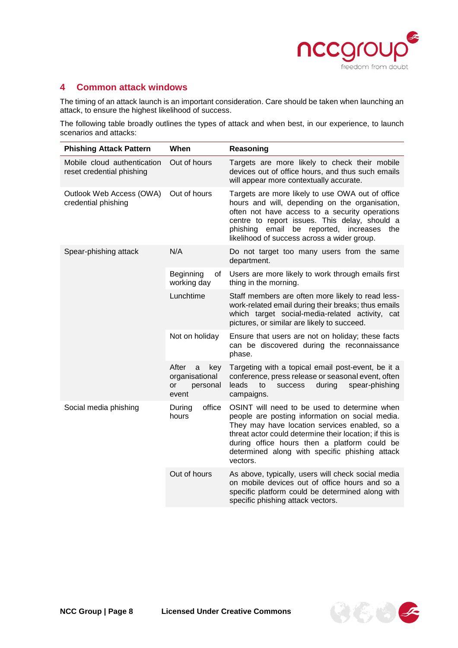

#### <span id="page-7-0"></span>**4 Common attack windows**

The timing of an attack launch is an important consideration. Care should be taken when launching an attack, to ensure the highest likelihood of success.

The following table broadly outlines the types of attack and when best, in our experience, to launch scenarios and attacks:

| <b>Phishing Attack Pattern</b>                           | When                                                           | Reasoning                                                                                                                                                                                                                                                                                                                 |
|----------------------------------------------------------|----------------------------------------------------------------|---------------------------------------------------------------------------------------------------------------------------------------------------------------------------------------------------------------------------------------------------------------------------------------------------------------------------|
| Mobile cloud authentication<br>reset credential phishing | Out of hours                                                   | Targets are more likely to check their mobile<br>devices out of office hours, and thus such emails<br>will appear more contextually accurate.                                                                                                                                                                             |
| Outlook Web Access (OWA)<br>credential phishing          | Out of hours                                                   | Targets are more likely to use OWA out of office<br>hours and will, depending on the organisation,<br>often not have access to a security operations<br>centre to report issues. This delay, should a<br>email<br>phishing<br>be reported, increases<br>the<br>likelihood of success across a wider group.                |
| Spear-phishing attack                                    | N/A                                                            | Do not target too many users from the same<br>department.                                                                                                                                                                                                                                                                 |
|                                                          | Beginning<br>οf<br>working day                                 | Users are more likely to work through emails first<br>thing in the morning.                                                                                                                                                                                                                                               |
|                                                          | Lunchtime                                                      | Staff members are often more likely to read less-<br>work-related email during their breaks; thus emails<br>which target social-media-related activity, cat<br>pictures, or similar are likely to succeed.                                                                                                                |
|                                                          | Not on holiday                                                 | Ensure that users are not on holiday; these facts<br>can be discovered during the reconnaissance<br>phase.                                                                                                                                                                                                                |
|                                                          | After<br>key<br>a<br>organisational<br>personal<br>or<br>event | Targeting with a topical email post-event, be it a<br>conference, press release or seasonal event, often<br>leads<br>during<br>spear-phishing<br>to<br><b>success</b><br>campaigns.                                                                                                                                       |
| Social media phishing                                    | office<br>During<br>hours                                      | OSINT will need to be used to determine when<br>people are posting information on social media.<br>They may have location services enabled, so a<br>threat actor could determine their location; if this is<br>during office hours then a platform could be<br>determined along with specific phishing attack<br>vectors. |
|                                                          | Out of hours                                                   | As above, typically, users will check social media<br>on mobile devices out of office hours and so a<br>specific platform could be determined along with<br>specific phishing attack vectors.                                                                                                                             |

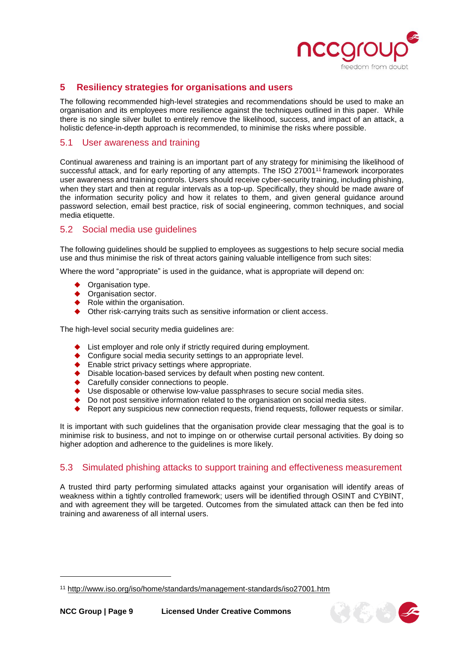

 $\mathfrak{g}(\mathfrak{E})$ 

#### <span id="page-8-0"></span>**5 Resiliency strategies for organisations and users**

The following recommended high-level strategies and recommendations should be used to make an organisation and its employees more resilience against the techniques outlined in this paper. While there is no single silver bullet to entirely remove the likelihood, success, and impact of an attack, a holistic defence-in-depth approach is recommended, to minimise the risks where possible.

#### <span id="page-8-1"></span>5.1 User awareness and training

Continual awareness and training is an important part of any strategy for minimising the likelihood of successful attack, and for early reporting of any attempts. The ISO 27001<sup>11</sup> framework incorporates user awareness and training controls. Users should receive cyber-security training, including phishing, when they start and then at regular intervals as a top-up. Specifically, they should be made aware of the information security policy and how it relates to them, and given general guidance around password selection, email best practice, risk of social engineering, common techniques, and social media etiquette.

#### <span id="page-8-2"></span>5.2 Social media use guidelines

The following guidelines should be supplied to employees as suggestions to help secure social media use and thus minimise the risk of threat actors gaining valuable intelligence from such sites:

Where the word "appropriate" is used in the guidance, what is appropriate will depend on:

Organisation type.

l

- ◆ Organisation sector.
- $\blacklozenge$  Role within the organisation.
- ◆ Other risk-carrying traits such as sensitive information or client access.

The high-level social security media guidelines are:

- List employer and role only if strictly required during employment.
- ◆ Configure social media security settings to an appropriate level.
- ◆ Enable strict privacy settings where appropriate.
- ◆ Disable location-based services by default when posting new content.
- ◆ Carefully consider connections to people.
- ◆ Use disposable or otherwise low-value passphrases to secure social media sites.
- ◆ Do not post sensitive information related to the organisation on social media sites.
- Report any suspicious new connection requests, friend requests, follower requests or similar.

It is important with such guidelines that the organisation provide clear messaging that the goal is to minimise risk to business, and not to impinge on or otherwise curtail personal activities. By doing so higher adoption and adherence to the guidelines is more likely.

#### <span id="page-8-3"></span>5.3 Simulated phishing attacks to support training and effectiveness measurement

A trusted third party performing simulated attacks against your organisation will identify areas of weakness within a tightly controlled framework; users will be identified through OSINT and CYBINT, and with agreement they will be targeted. Outcomes from the simulated attack can then be fed into training and awareness of all internal users.

<sup>11</sup> <http://www.iso.org/iso/home/standards/management-standards/iso27001.htm>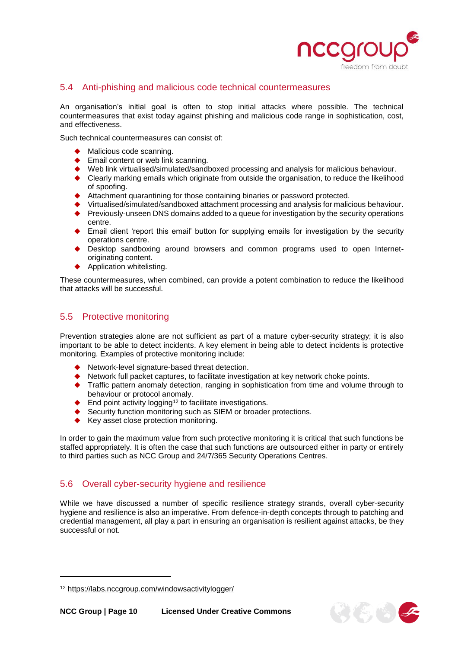

#### <span id="page-9-0"></span>5.4 Anti-phishing and malicious code technical countermeasures

An organisation's initial goal is often to stop initial attacks where possible. The technical countermeasures that exist today against phishing and malicious code range in sophistication, cost, and effectiveness.

Such technical countermeasures can consist of:

- Malicious code scanning.
- ◆ Email content or web link scanning.
- ◆ Web link virtualised/simulated/sandboxed processing and analysis for malicious behaviour.<br>◆ Clearly marking emails which originate from outside the organisation to reduce the likelihoo
- Clearly marking emails which originate from outside the organisation, to reduce the likelihood of spoofing.
- Attachment quarantining for those containing binaries or password protected.
- Virtualised/simulated/sandboxed attachment processing and analysis for malicious behaviour.
- ◆ Previously-unseen DNS domains added to a queue for investigation by the security operations centre.
- Email client 'report this email' button for supplying emails for investigation by the security operations centre.
- Desktop sandboxing around browsers and common programs used to open Internetoriginating content.
- Application whitelisting.

These countermeasures, when combined, can provide a potent combination to reduce the likelihood that attacks will be successful.

#### <span id="page-9-1"></span>5.5 Protective monitoring

Prevention strategies alone are not sufficient as part of a mature cyber-security strategy; it is also important to be able to detect incidents. A key element in being able to detect incidents is protective monitoring. Examples of protective monitoring include:

- Network-level signature-based threat detection.
- Network full packet captures, to facilitate investigation at key network choke points.
- Traffic pattern anomaly detection, ranging in sophistication from time and volume through to behaviour or protocol anomaly.
- $\blacklozenge$  End point activity logging<sup>12</sup> to facilitate investigations.
- Security function monitoring such as SIEM or broader protections.
- ◆ Key asset close protection monitoring.

In order to gain the maximum value from such protective monitoring it is critical that such functions be staffed appropriately. It is often the case that such functions are outsourced either in party or entirely to third parties such as NCC Group and 24/7/365 Security Operations Centres.

#### <span id="page-9-2"></span>5.6 Overall cyber-security hygiene and resilience

While we have discussed a number of specific resilience strategy strands, overall cyber-security hygiene and resilience is also an imperative. From defence-in-depth concepts through to patching and credential management, all play a part in ensuring an organisation is resilient against attacks, be they successful or not.



<sup>12</sup> <https://labs.nccgroup.com/windowsactivitylogger/>